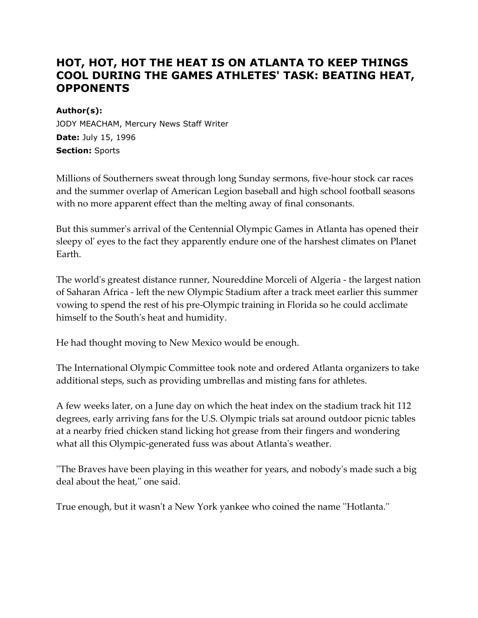# **HOT, HOT, HOT THE HEAT IS ON ATLANTA TO KEEP THINGS COOL DURING THE GAMES ATHLETES' TASK: BEATING HEAT, OPPONENTS**

### **Author(s):**

JODY MEACHAM, Mercury News Staff Writer **Date:** July 15, 1996 **Section:** Sports

Millions of Southerners sweat through long Sunday sermons, five-hour stock car races and the summer overlap of American Legion baseball and high school football seasons with no more apparent effect than the melting away of final consonants.

But this summer's arrival of the Centennial Olympic Games in Atlanta has opened their sleepy ol' eyes to the fact they apparently endure one of the harshest climates on Planet Earth.

The world's greatest distance runner, Noureddine Morceli of Algeria - the largest nation of Saharan Africa - left the new Olympic Stadium after a track meet earlier this summer vowing to spend the rest of his pre-Olympic training in Florida so he could acclimate himself to the South's heat and humidity.

He had thought moving to New Mexico would be enough.

The International Olympic Committee took note and ordered Atlanta organizers to take additional steps, such as providing umbrellas and misting fans for athletes.

A few weeks later, on a June day on which the heat index on the stadium track hit 112 degrees, early arriving fans for the U.S. Olympic trials sat around outdoor picnic tables at a nearby fried chicken stand licking hot grease from their fingers and wondering what all this Olympic-generated fuss was about Atlanta's weather.

''The Braves have been playing in this weather for years, and nobody's made such a big deal about the heat,'' one said.

True enough, but it wasn't a New York yankee who coined the name ''Hotlanta.''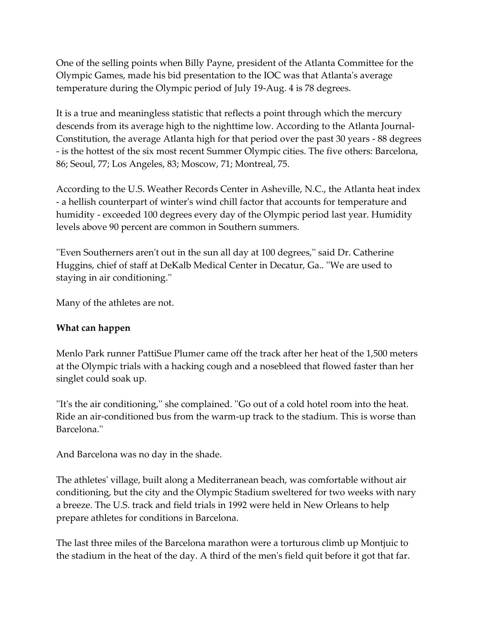One of the selling points when Billy Payne, president of the Atlanta Committee for the Olympic Games, made his bid presentation to the IOC was that Atlanta's average temperature during the Olympic period of July 19-Aug. 4 is 78 degrees.

It is a true and meaningless statistic that reflects a point through which the mercury descends from its average high to the nighttime low. According to the Atlanta Journal-Constitution, the average Atlanta high for that period over the past 30 years - 88 degrees - is the hottest of the six most recent Summer Olympic cities. The five others: Barcelona, 86; Seoul, 77; Los Angeles, 83; Moscow, 71; Montreal, 75.

According to the U.S. Weather Records Center in Asheville, N.C., the Atlanta heat index - a hellish counterpart of winter's wind chill factor that accounts for temperature and humidity - exceeded 100 degrees every day of the Olympic period last year. Humidity levels above 90 percent are common in Southern summers.

''Even Southerners aren't out in the sun all day at 100 degrees,'' said Dr. Catherine Huggins, chief of staff at DeKalb Medical Center in Decatur, Ga.. ''We are used to staying in air conditioning.''

Many of the athletes are not.

## **What can happen**

Menlo Park runner PattiSue Plumer came off the track after her heat of the 1,500 meters at the Olympic trials with a hacking cough and a nosebleed that flowed faster than her singlet could soak up.

''It's the air conditioning,'' she complained. ''Go out of a cold hotel room into the heat. Ride an air-conditioned bus from the warm-up track to the stadium. This is worse than Barcelona.''

And Barcelona was no day in the shade.

The athletes' village, built along a Mediterranean beach, was comfortable without air conditioning, but the city and the Olympic Stadium sweltered for two weeks with nary a breeze. The U.S. track and field trials in 1992 were held in New Orleans to help prepare athletes for conditions in Barcelona.

The last three miles of the Barcelona marathon were a torturous climb up Montjuic to the stadium in the heat of the day. A third of the men's field quit before it got that far.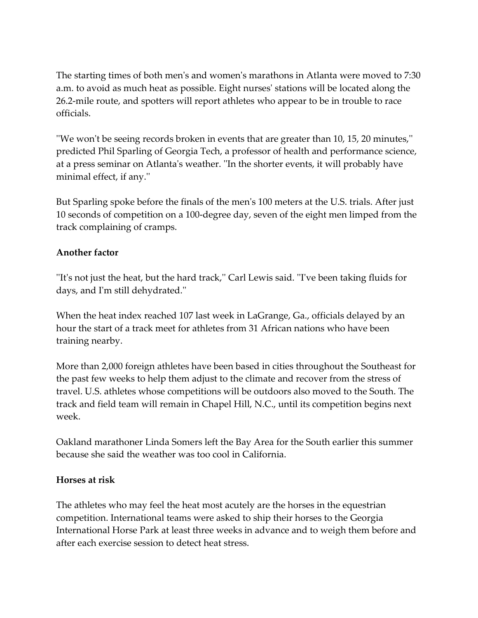The starting times of both men's and women's marathons in Atlanta were moved to 7:30 a.m. to avoid as much heat as possible. Eight nurses' stations will be located along the 26.2-mile route, and spotters will report athletes who appear to be in trouble to race officials.

''We won't be seeing records broken in events that are greater than 10, 15, 20 minutes,'' predicted Phil Sparling of Georgia Tech, a professor of health and performance science, at a press seminar on Atlanta's weather. ''In the shorter events, it will probably have minimal effect, if any.''

But Sparling spoke before the finals of the men's 100 meters at the U.S. trials. After just 10 seconds of competition on a 100-degree day, seven of the eight men limped from the track complaining of cramps.

# **Another factor**

''It's not just the heat, but the hard track,'' Carl Lewis said. ''I've been taking fluids for days, and I'm still dehydrated.''

When the heat index reached 107 last week in LaGrange, Ga., officials delayed by an hour the start of a track meet for athletes from 31 African nations who have been training nearby.

More than 2,000 foreign athletes have been based in cities throughout the Southeast for the past few weeks to help them adjust to the climate and recover from the stress of travel. U.S. athletes whose competitions will be outdoors also moved to the South. The track and field team will remain in Chapel Hill, N.C., until its competition begins next week.

Oakland marathoner Linda Somers left the Bay Area for the South earlier this summer because she said the weather was too cool in California.

### **Horses at risk**

The athletes who may feel the heat most acutely are the horses in the equestrian competition. International teams were asked to ship their horses to the Georgia International Horse Park at least three weeks in advance and to weigh them before and after each exercise session to detect heat stress.